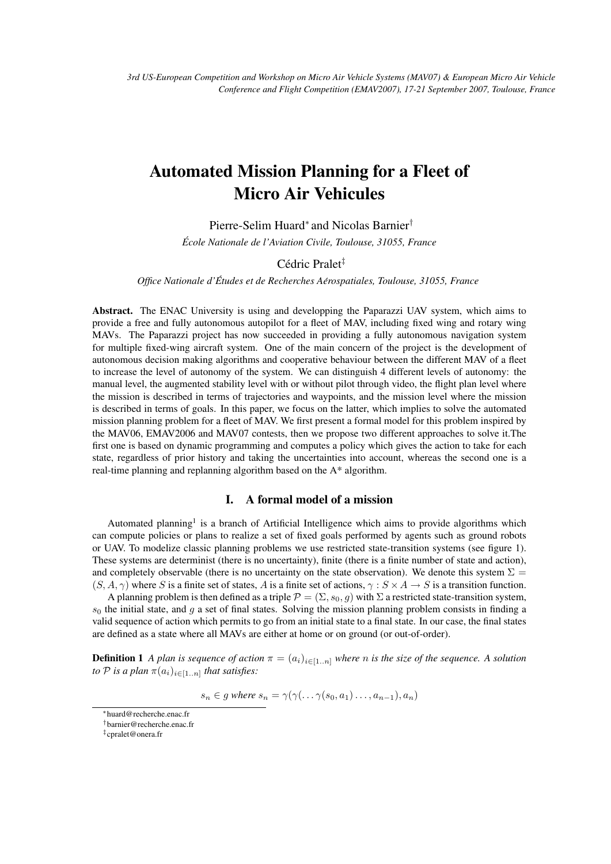# Automated Mission Planning for a Fleet of Micro Air Vehicules

Pierre-Selim Huard<sup>\*</sup> and Nicolas Barnier<sup>†</sup>

*Ecole Nationale de l'Aviation Civile, Toulouse, 31055, France ´*

# Cédric Pralet<sup>‡</sup>

*Office Nationale d'Etudes et de Recherches A ´ erospatiales, Toulouse, 31055, France ´*

Abstract. The ENAC University is using and developping the Paparazzi UAV system, which aims to provide a free and fully autonomous autopilot for a fleet of MAV, including fixed wing and rotary wing MAVs. The Paparazzi project has now succeeded in providing a fully autonomous navigation system for multiple fixed-wing aircraft system. One of the main concern of the project is the development of autonomous decision making algorithms and cooperative behaviour between the different MAV of a fleet to increase the level of autonomy of the system. We can distinguish 4 different levels of autonomy: the manual level, the augmented stability level with or without pilot through video, the flight plan level where the mission is described in terms of trajectories and waypoints, and the mission level where the mission is described in terms of goals. In this paper, we focus on the latter, which implies to solve the automated mission planning problem for a fleet of MAV. We first present a formal model for this problem inspired by the MAV06, EMAV2006 and MAV07 contests, then we propose two different approaches to solve it.The first one is based on dynamic programming and computes a policy which gives the action to take for each state, regardless of prior history and taking the uncertainties into account, whereas the second one is a real-time planning and replanning algorithm based on the A\* algorithm.

# I. A formal model of a mission

Automated planning<sup>1</sup> is a branch of Artificial Intelligence which aims to provide algorithms which can compute policies or plans to realize a set of fixed goals performed by agents such as ground robots or UAV. To modelize classic planning problems we use restricted state-transition systems (see figure 1). These systems are determinist (there is no uncertainty), finite (there is a finite number of state and action), and completely observable (there is no uncertainty on the state observation). We denote this system  $\Sigma =$  $(S, A, \gamma)$  where S is a finite set of states, A is a finite set of actions,  $\gamma : S \times A \rightarrow S$  is a transition function.

A planning problem is then defined as a triple  $\mathcal{P} = (\Sigma, s_0, g)$  with  $\Sigma$  a restricted state-transition system,  $s_0$  the initial state, and g a set of final states. Solving the mission planning problem consists in finding a valid sequence of action which permits to go from an initial state to a final state. In our case, the final states are defined as a state where all MAVs are either at home or on ground (or out-of-order).

**Definition 1** *A plan is sequence of action*  $\pi = (a_i)_{i \in [1,n]}$  *where n is the size of the sequence. A solution to*  $P$  *is a plan*  $\pi(a_i)_{i \in [1..n]}$  *that satisfies:* 

 $s_n \in g$  where  $s_n = \gamma(\gamma(\ldots \gamma(s_0, a_1) \ldots, a_{n-1}), a_n)$ 

<sup>∗</sup>huard@recherche.enac.fr

<sup>†</sup>barnier@recherche.enac.fr

<sup>‡</sup> cpralet@onera.fr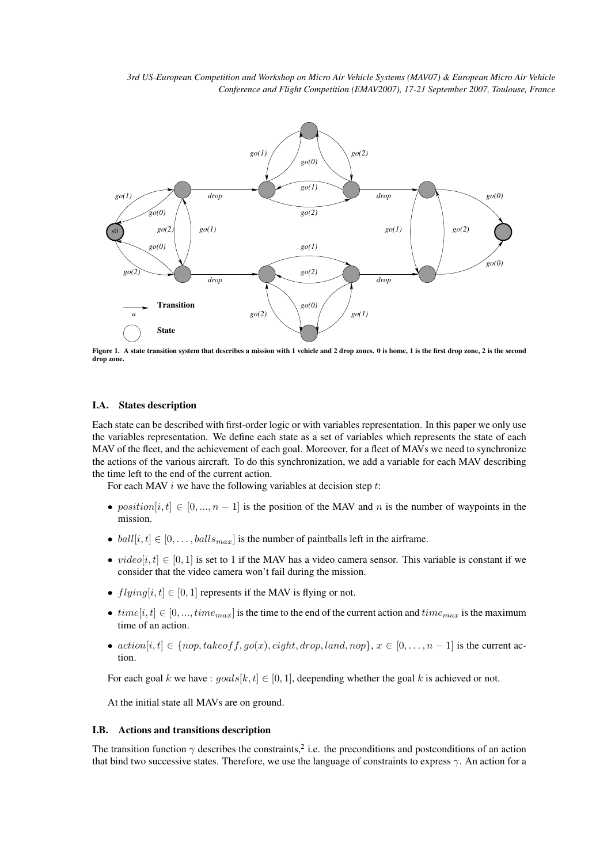

Figure 1. A state transition system that describes a mission with 1 vehicle and 2 drop zones. 0 is home, 1 is the first drop zone, 2 is the second drop zone.

#### I.A. States description

Each state can be described with first-order logic or with variables representation. In this paper we only use the variables representation. We define each state as a set of variables which represents the state of each MAV of the fleet, and the achievement of each goal. Moreover, for a fleet of MAVs we need to synchronize the actions of the various aircraft. To do this synchronization, we add a variable for each MAV describing the time left to the end of the current action.

For each MAV  $i$  we have the following variables at decision step  $t$ :

- position $[i, t] \in [0, ..., n-1]$  is the position of the MAV and n is the number of waypoints in the mission.
- ball $[i, t] \in [0, \ldots, balls_{max}]$  is the number of paintballs left in the airframe.
- video[i, t]  $\in [0, 1]$  is set to 1 if the MAV has a video camera sensor. This variable is constant if we consider that the video camera won't fail during the mission.
- $flying[i, t] \in [0, 1]$  represents if the MAV is flying or not.
- $time[i, t] \in [0, ..., time_{max}]$  is the time to the end of the current action and  $time_{max}$  is the maximum time of an action.
- $action[i, t] \in \{nop, takeoff, qo(x), eight, drop, land, nop\}, x \in [0, \ldots, n-1]$  is the current action.

For each goal k we have :  $goals[k, t] \in [0, 1]$ , deepending whether the goal k is achieved or not.

At the initial state all MAVs are on ground.

#### I.B. Actions and transitions description

The transition function  $\gamma$  describes the constraints,<sup>2</sup> i.e. the preconditions and postconditions of an action that bind two successive states. Therefore, we use the language of constraints to express  $\gamma$ . An action for a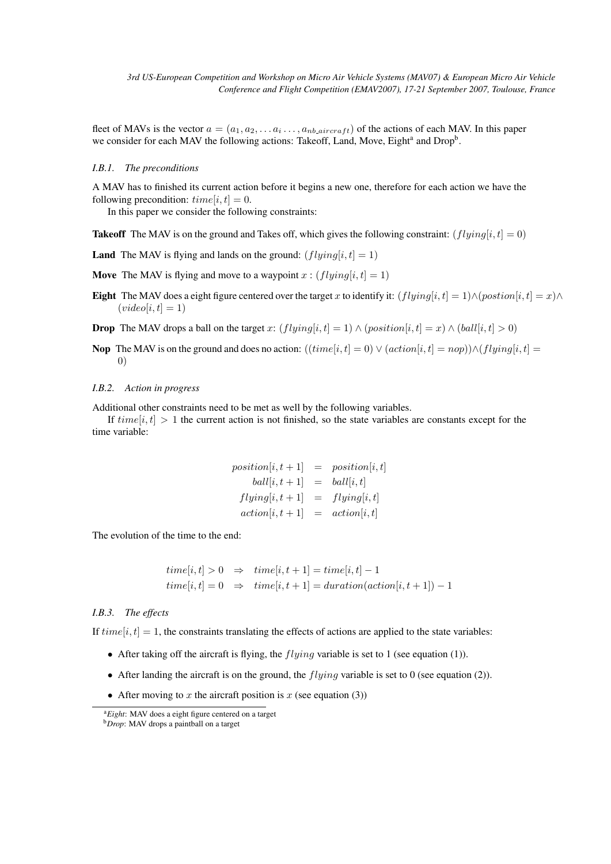fleet of MAVs is the vector  $a = (a_1, a_2, \dots a_i \dots, a_{nb\text{-}aircraft})$  of the actions of each MAV. In this paper we consider for each MAV the following actions: Takeoff, Land, Move, Eight<sup>a</sup> and Drop<sup>b</sup>.

#### *I.B.1. The preconditions*

A MAV has to finished its current action before it begins a new one, therefore for each action we have the following precondition:  $time[i, t] = 0$ .

In this paper we consider the following constraints:

**Takeoff** The MAV is on the ground and Takes off, which gives the following constraint:  $(flying[i, t] = 0)$ 

**Land** The MAV is flying and lands on the ground:  $(flying[i, t] = 1)$ 

**Move** The MAV is flying and move to a waypoint x:  $(flying[i, t] = 1)$ 

Eight The MAV does a eight figure centered over the target x to identify it:  $(flying[i, t] = 1) \land (position[i, t] = x) \land$  $(video[i, t] = 1)$ 

**Drop** The MAV drops a ball on the target x:  $(flying[i, t] = 1) \wedge (position[i, t] = x) \wedge (ball[i, t] > 0)$ 

**Nop** The MAV is on the ground and does no action:  $((time[i, t] = 0) \lor (action[i, t] = nop)) \land (flying[i, t] =$ 0)

#### *I.B.2. Action in progress*

Additional other constraints need to be met as well by the following variables.

If  $time[i, t] > 1$  the current action is not finished, so the state variables are constants except for the time variable:

$$
position[i, t+1] = position[i, t]
$$
  
\n
$$
ball[i, t+1] = ball[i, t]
$$
  
\n
$$
flying[i, t+1] = flying[i, t]
$$
  
\n
$$
action[i, t+1] = action[i, t]
$$

The evolution of the time to the end:

$$
time[i, t] > 0 \Rightarrow time[i, t + 1] = time[i, t] - 1
$$
  
\n
$$
time[i, t] = 0 \Rightarrow time[i, t + 1] = duration(action[i, t + 1]) - 1
$$

#### *I.B.3. The effects*

If  $time[i, t] = 1$ , the constraints translating the effects of actions are applied to the state variables:

- After taking off the aircraft is flying, the  $flying$  variable is set to 1 (see equation (1)).
- After landing the aircraft is on the ground, the  $flying$  variable is set to 0 (see equation (2)).
- After moving to x the aircraft position is x (see equation (3))

<sup>a</sup>*Eight*: MAV does a eight figure centered on a target

<sup>b</sup>*Drop*: MAV drops a paintball on a target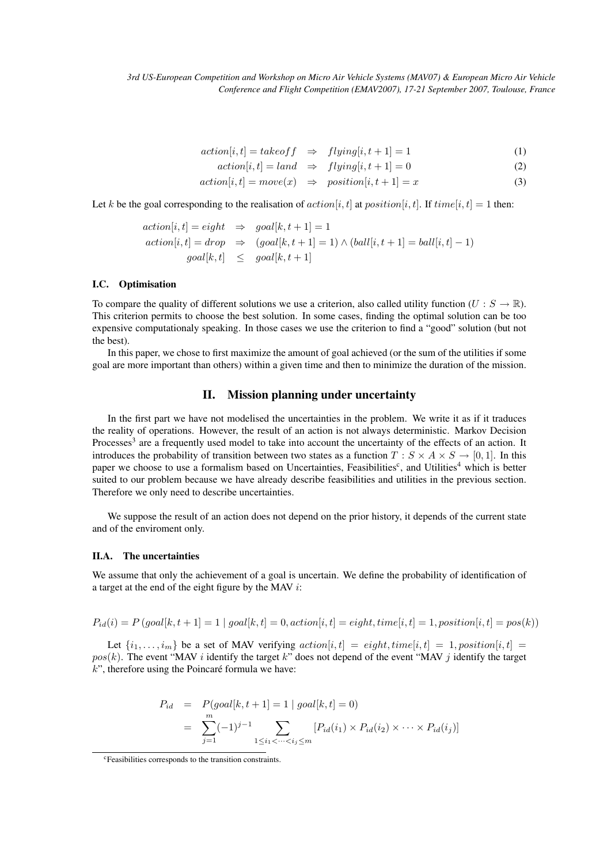$$
action[i, t] = takeoff \Rightarrow flying[i, t + 1] = 1
$$
\n(1)

$$
action[i, t] = land \Rightarrow flying[i, t + 1] = 0
$$
\n
$$
tion[i, t] = move(x) \Rightarrow position[i, t + 1] = x
$$
\n(3)

$$
action[i, t] = move(x) \Rightarrow position[i, t + 1] = x \tag{3}
$$

Let k be the goal corresponding to the realisation of  $action[i, t]$  at  $position[i, t]$ . If  $time[i, t] = 1$  then:

$$
action[i, t] = eight \Rightarrow goal[k, t + 1] = 1
$$
  

$$
action[i, t] = drop \Rightarrow (goal[k, t + 1] = 1) \land (ball[i, t + 1] = ball[i, t] - 1)
$$
  

$$
goal[k, t] \le goal[k, t + 1]
$$

#### I.C. Optimisation

To compare the quality of different solutions we use a criterion, also called utility function  $(U : S \to \mathbb{R})$ . This criterion permits to choose the best solution. In some cases, finding the optimal solution can be too expensive computationaly speaking. In those cases we use the criterion to find a "good" solution (but not the best).

In this paper, we chose to first maximize the amount of goal achieved (or the sum of the utilities if some goal are more important than others) within a given time and then to minimize the duration of the mission.

### II. Mission planning under uncertainty

In the first part we have not modelised the uncertainties in the problem. We write it as if it traduces the reality of operations. However, the result of an action is not always deterministic. Markov Decision Processes<sup>3</sup> are a frequently used model to take into account the uncertainty of the effects of an action. It introduces the probability of transition between two states as a function  $T : S \times A \times S \rightarrow [0, 1]$ . In this paper we choose to use a formalism based on Uncertainties, Feasibilities<sup>c</sup>, and Utilities<sup>4</sup> which is better suited to our problem because we have already describe feasibilities and utilities in the previous section. Therefore we only need to describe uncertainties.

We suppose the result of an action does not depend on the prior history, it depends of the current state and of the enviroment only.

# II.A. The uncertainties

We assume that only the achievement of a goal is uncertain. We define the probability of identification of a target at the end of the eight figure by the MAV i:

$$
P_{id}(i) = P\left(goal[k,t+1] = 1 \mid goal[k,t] = 0, action[i,t] = eight, time[i,t] = 1, position[i,t] = pos(k)\right)
$$

Let  $\{i_1, \ldots, i_m\}$  be a set of MAV verifying  $action[i, t] = eight, time[i, t] = 1, position[i, t] =$  $pos(k)$ . The event "MAV *i* identify the target k" does not depend of the event "MAV *j* identify the target  $k$ ", therefore using the Poincaré formula we have:

$$
P_{id} = P(goaI[k, t+1] = 1 | goal[k, t] = 0)
$$
  
= 
$$
\sum_{j=1}^{m} (-1)^{j-1} \sum_{1 \le i_1 < \dots < i_j \le m} [P_{id}(i_1) \times P_{id}(i_2) \times \dots \times P_{id}(i_j)]
$$

<sup>c</sup>Feasibilities corresponds to the transition constraints.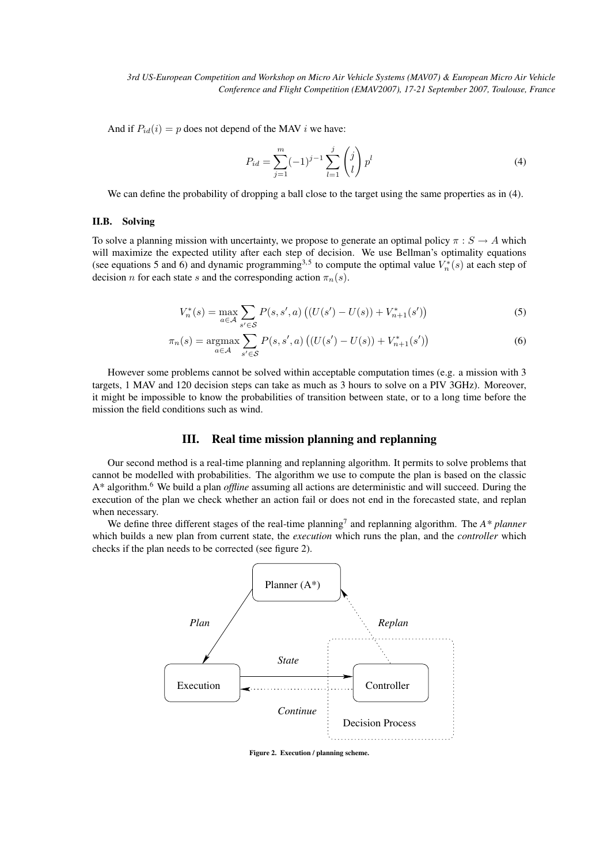And if  $P_{id}(i) = p$  does not depend of the MAV i we have:

$$
P_{id} = \sum_{j=1}^{m} (-1)^{j-1} \sum_{l=1}^{j} \binom{j}{l} p^{l}
$$
 (4)

We can define the probability of dropping a ball close to the target using the same properties as in (4).

#### II.B. Solving

To solve a planning mission with uncertainty, we propose to generate an optimal policy  $\pi : S \to A$  which will maximize the expected utility after each step of decision. We use Bellman's optimality equations (see equations 5 and 6) and dynamic programming<sup>3,5</sup> to compute the optimal value  $V_n^*(s)$  at each step of decision n for each state s and the corresponding action  $\pi_n(s)$ .

$$
V_n^*(s) = \max_{a \in \mathcal{A}} \sum_{s' \in \mathcal{S}} P(s, s', a) \left( (U(s') - U(s)) + V_{n+1}^*(s') \right)
$$
(5)

$$
\pi_n(s) = \underset{a \in \mathcal{A}}{\text{argmax}} \sum_{s' \in \mathcal{S}} P(s, s', a) \left( (U(s') - U(s)) + V_{n+1}^*(s') \right) \tag{6}
$$

However some problems cannot be solved within acceptable computation times (e.g. a mission with 3 targets, 1 MAV and 120 decision steps can take as much as 3 hours to solve on a PIV 3GHz). Moreover, it might be impossible to know the probabilities of transition between state, or to a long time before the mission the field conditions such as wind.

# III. Real time mission planning and replanning

Our second method is a real-time planning and replanning algorithm. It permits to solve problems that cannot be modelled with probabilities. The algorithm we use to compute the plan is based on the classic A\* algorithm.<sup>6</sup> We build a plan *offline* assuming all actions are deterministic and will succeed. During the execution of the plan we check whether an action fail or does not end in the forecasted state, and replan when necessary.

We define three different stages of the real-time planning<sup>7</sup> and replanning algorithm. The *A\* planner* which builds a new plan from current state, the *execution* which runs the plan, and the *controller* which checks if the plan needs to be corrected (see figure 2).



Figure 2. Execution / planning scheme.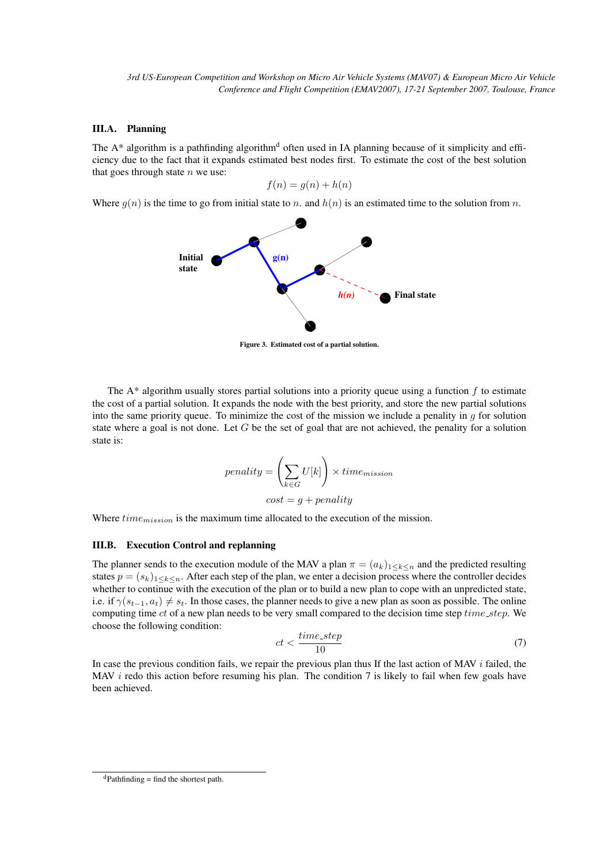# III.A. Planning

The  $A^*$  algorithm is a pathfinding algorithm<sup>d</sup> often used in IA planning because of it simplicity and efficiency due to the fact that it expands estimated best nodes first. To estimate the cost of the best solution that goes through state  $n$  we use:

$$
f(n) = g(n) + h(n)
$$

Where  $g(n)$  is the time to go from initial state to n. and  $h(n)$  is an estimated time to the solution from n.



Figure 3. Estimated cost of a partial solution.

The  $A^*$  algorithm usually stores partial solutions into a priority queue using a function f to estimate the cost of a partial solution. It expands the node with the best priority, and store the new partial solutions into the same priority queue. To minimize the cost of the mission we include a penality in  $g$  for solution state where a goal is not done. Let  $G$  be the set of goal that are not achieved, the penality for a solution state is:

$$
penality = \left(\sum_{k \in G} U[k]\right) \times time_{mission}
$$

$$
cost = g + penalty
$$

Where  $time_{mission}$  is the maximum time allocated to the execution of the mission.

# III.B. Execution Control and replanning

The planner sends to the execution module of the MAV a plan  $\pi = (a_k)_{1 \leq k \leq n}$  and the predicted resulting states  $p = (s_k)_{1 \leq k \leq n}$ . After each step of the plan, we enter a decision process where the controller decides whether to continue with the execution of the plan or to build a new plan to cope with an unpredicted state, i.e. if  $\gamma(s_{t-1}, a_t) \neq s_t$ . In those cases, the planner needs to give a new plan as soon as possible. The online computing time ct of a new plan needs to be very small compared to the decision time step  $time\_step$ . We choose the following condition:

$$
ct < \frac{time\_step}{10} \tag{7}
$$

In case the previous condition fails, we repair the previous plan thus If the last action of MAV  $i$  failed, the MAV  $i$  redo this action before resuming his plan. The condition 7 is likely to fail when few goals have been achieved.

 $d$ Pathfinding = find the shortest path.